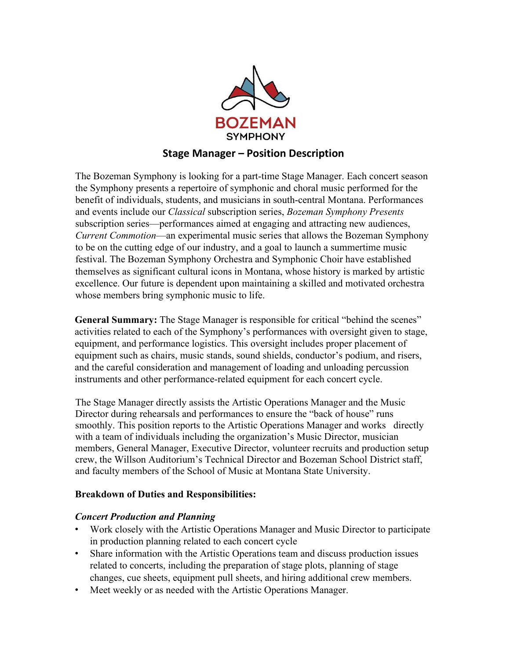

The Bozeman Symphony is looking for a part-time Stage Manager. Each concert season the Symphony presents a repertoire of symphonic and choral music performed for the benefit of individuals, students, and musicians in south-central Montana. Performances and events include our *Classical* subscription series, *Bozeman Symphony Presents* subscription series—performances aimed at engaging and attracting new audiences, *Current Commotion*—an experimental music series that allows the Bozeman Symphony to be on the cutting edge of our industry, and a goal to launch a summertime music festival. The Bozeman Symphony Orchestra and Symphonic Choir have established themselves as significant cultural icons in Montana, whose history is marked by artistic excellence. Our future is dependent upon maintaining a skilled and motivated orchestra whose members bring symphonic music to life.

**General Summary:** The Stage Manager is responsible for critical "behind the scenes" activities related to each of the Symphony's performances with oversight given to stage, equipment, and performance logistics. This oversight includes proper placement of equipment such as chairs, music stands, sound shields, conductor's podium, and risers, and the careful consideration and management of loading and unloading percussion instruments and other performance-related equipment for each concert cycle.

The Stage Manager directly assists the Artistic Operations Manager and the Music Director during rehearsals and performances to ensure the "back of house" runs smoothly. This position reports to the Artistic Operations Manager and works directly with a team of individuals including the organization's Music Director, musician members, General Manager, Executive Director, volunteer recruits and production setup crew, the Willson Auditorium's Technical Director and Bozeman School District staff, and faculty members of the School of Music at Montana State University.

### **Breakdown of Duties and Responsibilities:**

### *Concert Production and Planning*

- Work closely with the Artistic Operations Manager and Music Director to participate in production planning related to each concert cycle
- Share information with the Artistic Operations team and discuss production issues related to concerts, including the preparation of stage plots, planning of stage changes, cue sheets, equipment pull sheets, and hiring additional crew members.
- Meet weekly or as needed with the Artistic Operations Manager.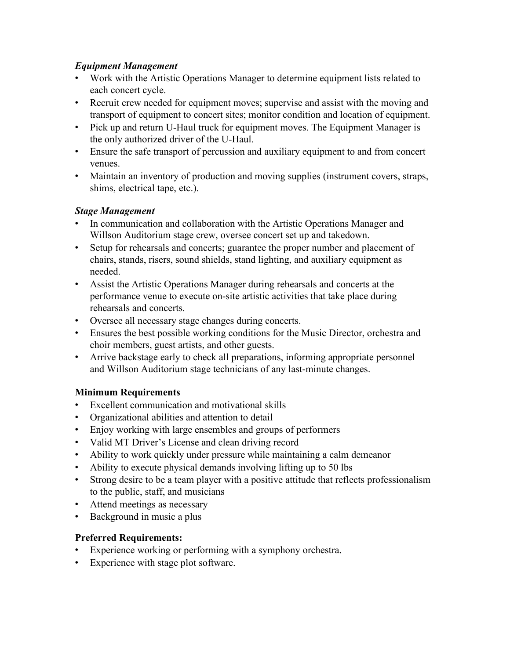## *Equipment Management*

- Work with the Artistic Operations Manager to determine equipment lists related to each concert cycle.
- Recruit crew needed for equipment moves; supervise and assist with the moving and transport of equipment to concert sites; monitor condition and location of equipment.
- Pick up and return U-Haul truck for equipment moves. The Equipment Manager is the only authorized driver of the U-Haul.
- Ensure the safe transport of percussion and auxiliary equipment to and from concert venues.
- Maintain an inventory of production and moving supplies (instrument covers, straps, shims, electrical tape, etc.).

## *Stage Management*

- In communication and collaboration with the Artistic Operations Manager and Willson Auditorium stage crew, oversee concert set up and takedown.
- Setup for rehearsals and concerts; guarantee the proper number and placement of chairs, stands, risers, sound shields, stand lighting, and auxiliary equipment as needed.
- Assist the Artistic Operations Manager during rehearsals and concerts at the performance venue to execute on-site artistic activities that take place during rehearsals and concerts.
- Oversee all necessary stage changes during concerts.
- Ensures the best possible working conditions for the Music Director, orchestra and choir members, guest artists, and other guests.
- Arrive backstage early to check all preparations, informing appropriate personnel and Willson Auditorium stage technicians of any last-minute changes.

# **Minimum Requirements**

- Excellent communication and motivational skills
- Organizational abilities and attention to detail
- Enjoy working with large ensembles and groups of performers
- Valid MT Driver's License and clean driving record
- Ability to work quickly under pressure while maintaining a calm demeanor
- Ability to execute physical demands involving lifting up to 50 lbs
- Strong desire to be a team player with a positive attitude that reflects professionalism to the public, staff, and musicians
- Attend meetings as necessary
- Background in music a plus

# **Preferred Requirements:**

- Experience working or performing with a symphony orchestra.
- Experience with stage plot software.